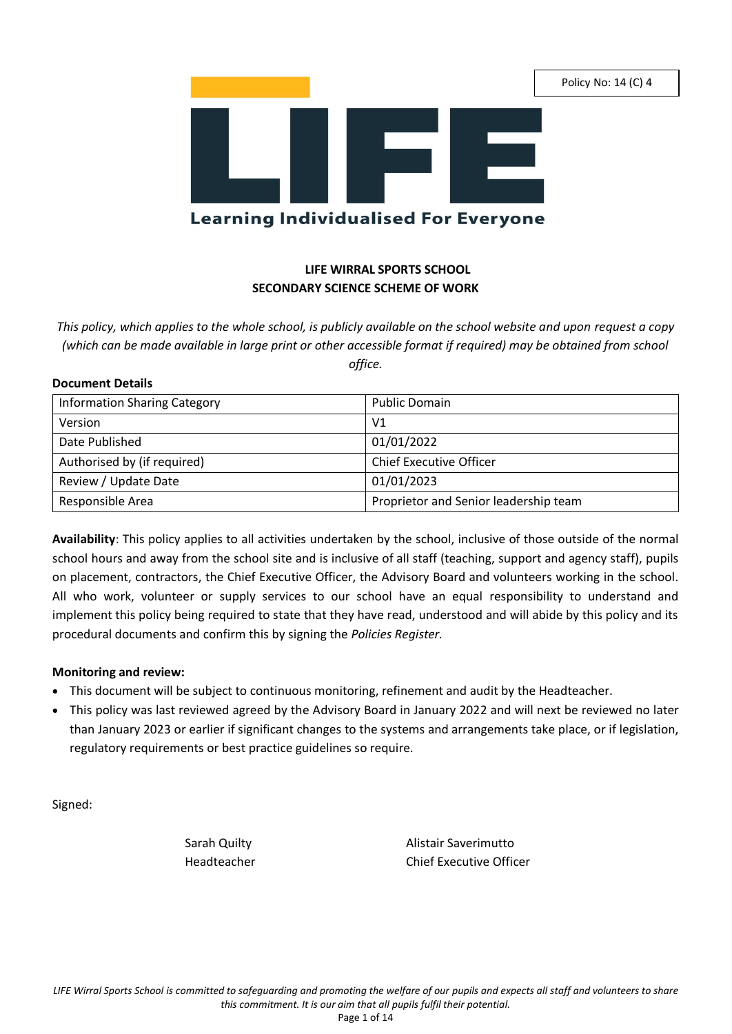Policy No: 14 (C) 4



# **LIFE WIRRAL SPORTS SCHOOL SECONDARY SCIENCE SCHEME OF WORK**

*This policy, which applies to the whole school, is publicly available on the school website and upon request a copy (which can be made available in large print or other accessible format if required) may be obtained from school office.*

# **Document Details**

| <b>Information Sharing Category</b> | <b>Public Domain</b>                  |
|-------------------------------------|---------------------------------------|
| Version                             | V <sub>1</sub>                        |
| Date Published                      | 01/01/2022                            |
| Authorised by (if required)         | <b>Chief Executive Officer</b>        |
| Review / Update Date                | 01/01/2023                            |
| Responsible Area                    | Proprietor and Senior leadership team |

**Availability**: This policy applies to all activities undertaken by the school, inclusive of those outside of the normal school hours and away from the school site and is inclusive of all staff (teaching, support and agency staff), pupils on placement, contractors, the Chief Executive Officer, the Advisory Board and volunteers working in the school. All who work, volunteer or supply services to our school have an equal responsibility to understand and implement this policy being required to state that they have read, understood and will abide by this policy and its procedural documents and confirm this by signing the *Policies Register.*

# **Monitoring and review:**

- This document will be subject to continuous monitoring, refinement and audit by the Headteacher.
- This policy was last reviewed agreed by the Advisory Board in January 2022 and will next be reviewed no later than January 2023 or earlier if significant changes to the systems and arrangements take place, or if legislation, regulatory requirements or best practice guidelines so require.

Signed:

Sarah Quilty **Alistair Saverimutto** Headteacher Chief Executive Officer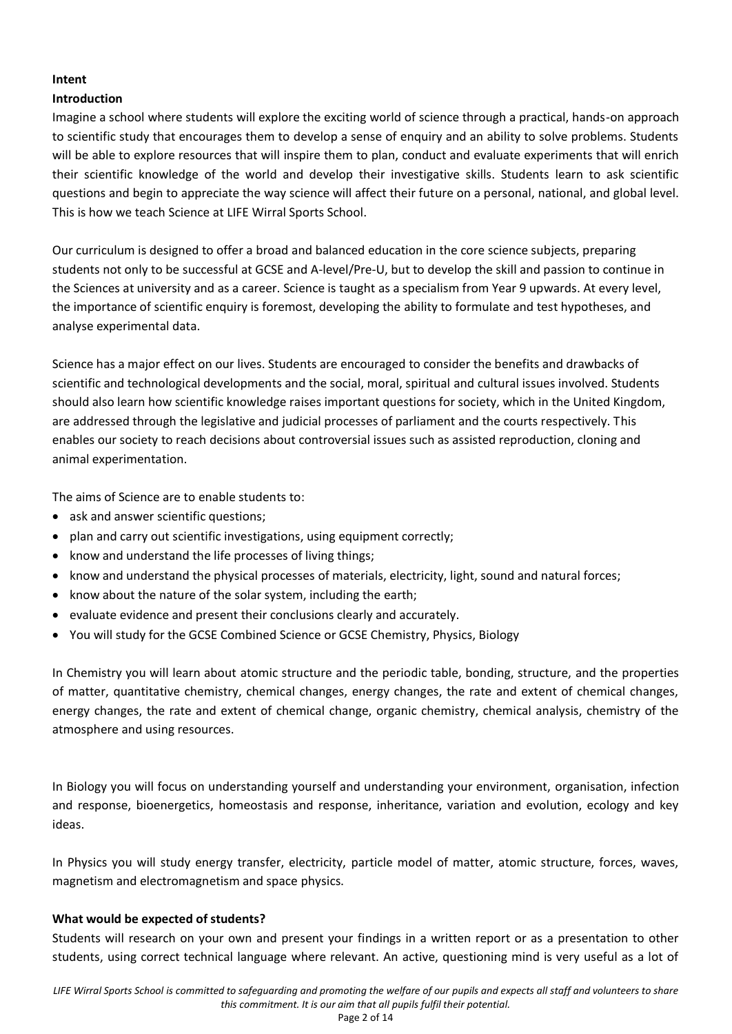# **Intent**

# **Introduction**

Imagine a school where students will explore the exciting world of science through a practical, hands-on approach to scientific study that encourages them to develop a sense of enquiry and an ability to solve problems. Students will be able to explore resources that will inspire them to plan, conduct and evaluate experiments that will enrich their scientific knowledge of the world and develop their investigative skills. Students learn to ask scientific questions and begin to appreciate the way science will affect their future on a personal, national, and global level. This is how we teach Science at LIFE Wirral Sports School.

Our curriculum is designed to offer a broad and balanced education in the core science subjects, preparing students not only to be successful at GCSE and A-level/Pre-U, but to develop the skill and passion to continue in the Sciences at university and as a career. Science is taught as a specialism from Year 9 upwards. At every level, the importance of scientific enquiry is foremost, developing the ability to formulate and test hypotheses, and analyse experimental data.

Science has a major effect on our lives. Students are encouraged to consider the benefits and drawbacks of scientific and technological developments and the social, moral, spiritual and cultural issues involved. Students should also learn how scientific knowledge raises important questions for society, which in the United Kingdom, are addressed through the legislative and judicial processes of parliament and the courts respectively. This enables our society to reach decisions about controversial issues such as assisted reproduction, cloning and animal experimentation.

The aims of Science are to enable students to:

- ask and answer scientific questions;
- plan and carry out scientific investigations, using equipment correctly;
- know and understand the life processes of living things;
- know and understand the physical processes of materials, electricity, light, sound and natural forces;
- know about the nature of the solar system, including the earth;
- evaluate evidence and present their conclusions clearly and accurately.
- You will study for the GCSE Combined Science or GCSE Chemistry, Physics, Biology

In Chemistry you will learn about atomic structure and the periodic table, bonding, structure, and the properties of matter, quantitative chemistry, chemical changes, energy changes, the rate and extent of chemical changes, energy changes, the rate and extent of chemical change, organic chemistry, chemical analysis, chemistry of the atmosphere and using resources.

In Biology you will focus on understanding yourself and understanding your environment, organisation, infection and response, bioenergetics, homeostasis and response, inheritance, variation and evolution, ecology and key ideas.

In Physics you will study energy transfer, electricity, particle model of matter, atomic structure, forces, waves, magnetism and electromagnetism and space physics.

# **What would be expected of students?**

Students will research on your own and present your findings in a written report or as a presentation to other students, using correct technical language where relevant. An active, questioning mind is very useful as a lot of

Page 2 of 14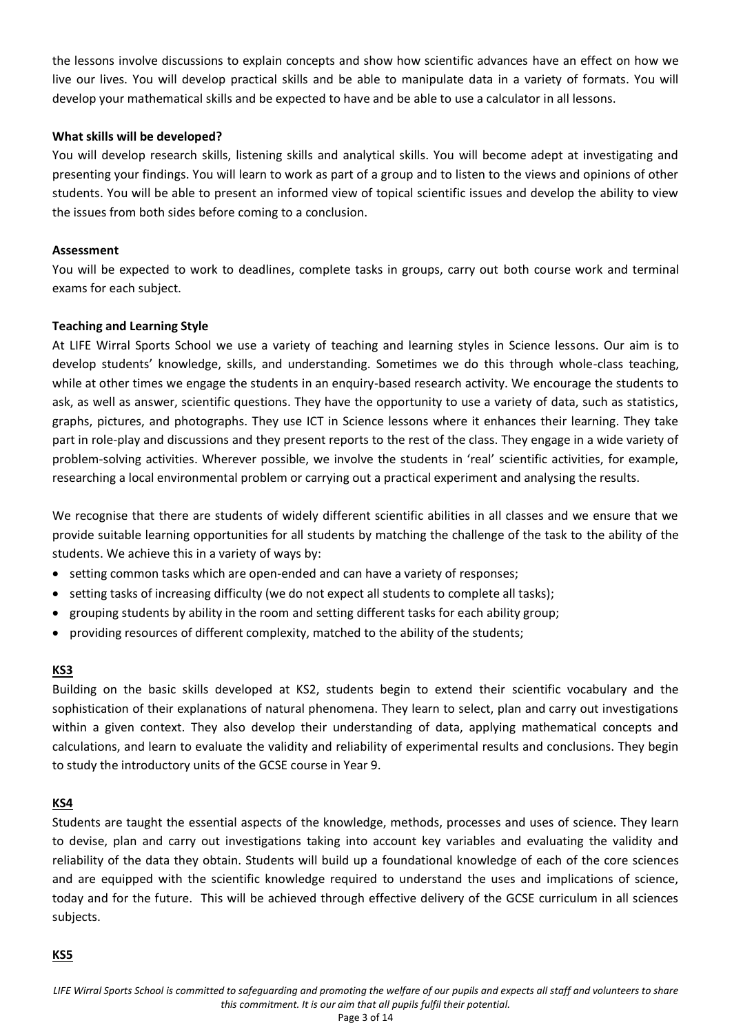the lessons involve discussions to explain concepts and show how scientific advances have an effect on how we live our lives. You will develop practical skills and be able to manipulate data in a variety of formats. You will develop your mathematical skills and be expected to have and be able to use a calculator in all lessons.

# **What skills will be developed?**

You will develop research skills, listening skills and analytical skills. You will become adept at investigating and presenting your findings. You will learn to work as part of a group and to listen to the views and opinions of other students. You will be able to present an informed view of topical scientific issues and develop the ability to view the issues from both sides before coming to a conclusion.

# **Assessment**

You will be expected to work to deadlines, complete tasks in groups, carry out both course work and terminal exams for each subject.

# **Teaching and Learning Style**

At LIFE Wirral Sports School we use a variety of teaching and learning styles in Science lessons. Our aim is to develop students' knowledge, skills, and understanding. Sometimes we do this through whole-class teaching, while at other times we engage the students in an enquiry-based research activity. We encourage the students to ask, as well as answer, scientific questions. They have the opportunity to use a variety of data, such as statistics, graphs, pictures, and photographs. They use ICT in Science lessons where it enhances their learning. They take part in role-play and discussions and they present reports to the rest of the class. They engage in a wide variety of problem-solving activities. Wherever possible, we involve the students in 'real' scientific activities, for example, researching a local environmental problem or carrying out a practical experiment and analysing the results.

We recognise that there are students of widely different scientific abilities in all classes and we ensure that we provide suitable learning opportunities for all students by matching the challenge of the task to the ability of the students. We achieve this in a variety of ways by:

- setting common tasks which are open-ended and can have a variety of responses;
- setting tasks of increasing difficulty (we do not expect all students to complete all tasks);
- grouping students by ability in the room and setting different tasks for each ability group;
- providing resources of different complexity, matched to the ability of the students;

# **KS3**

Building on the basic skills developed at KS2, students begin to extend their scientific vocabulary and the sophistication of their explanations of natural phenomena. They learn to select, plan and carry out investigations within a given context. They also develop their understanding of data, applying mathematical concepts and calculations, and learn to evaluate the validity and reliability of experimental results and conclusions. They begin to study the introductory units of the GCSE course in Year 9.

# **KS4**

Students are taught the essential aspects of the knowledge, methods, processes and uses of science. They learn to devise, plan and carry out investigations taking into account key variables and evaluating the validity and reliability of the data they obtain. Students will build up a foundational knowledge of each of the core sciences and are equipped with the scientific knowledge required to understand the uses and implications of science, today and for the future. This will be achieved through effective delivery of the GCSE curriculum in all sciences subjects.

# **KS5**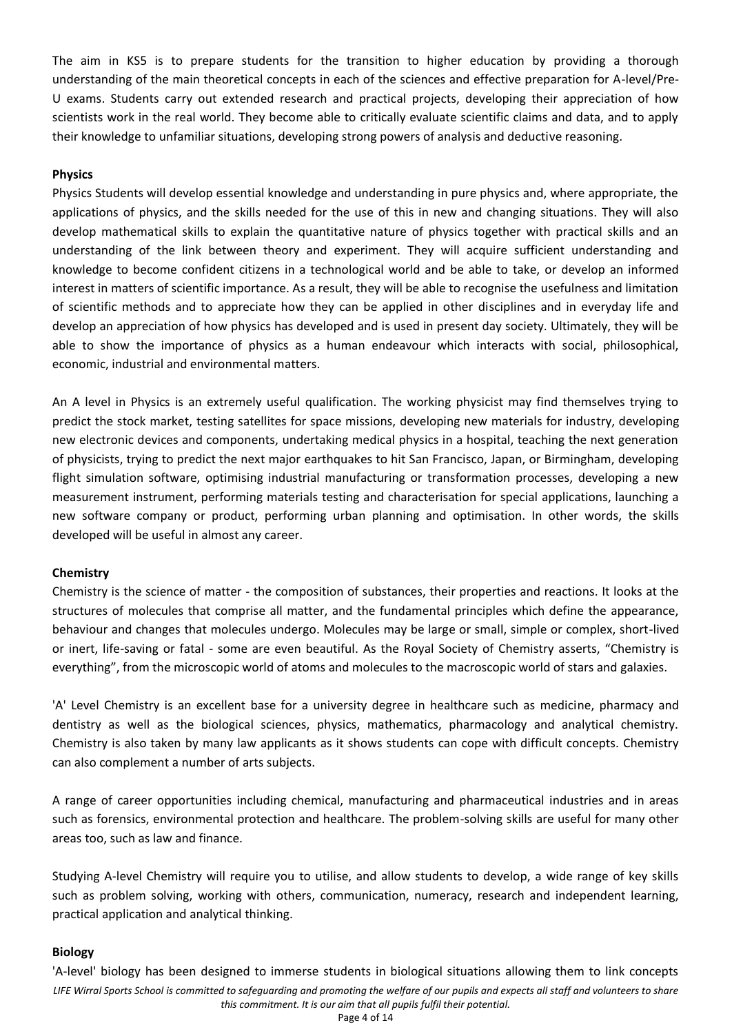The aim in KS5 is to prepare students for the transition to higher education by providing a thorough understanding of the main theoretical concepts in each of the sciences and effective preparation for A-level/Pre-U exams. Students carry out extended research and practical projects, developing their appreciation of how scientists work in the real world. They become able to critically evaluate scientific claims and data, and to apply their knowledge to unfamiliar situations, developing strong powers of analysis and deductive reasoning.

# **Physics**

Physics Students will develop essential knowledge and understanding in pure physics and, where appropriate, the applications of physics, and the skills needed for the use of this in new and changing situations. They will also develop mathematical skills to explain the quantitative nature of physics together with practical skills and an understanding of the link between theory and experiment. They will acquire sufficient understanding and knowledge to become confident citizens in a technological world and be able to take, or develop an informed interest in matters of scientific importance. As a result, they will be able to recognise the usefulness and limitation of scientific methods and to appreciate how they can be applied in other disciplines and in everyday life and develop an appreciation of how physics has developed and is used in present day society. Ultimately, they will be able to show the importance of physics as a human endeavour which interacts with social, philosophical, economic, industrial and environmental matters.

An A level in Physics is an extremely useful qualification. The working physicist may find themselves trying to predict the stock market, testing satellites for space missions, developing new materials for industry, developing new electronic devices and components, undertaking medical physics in a hospital, teaching the next generation of physicists, trying to predict the next major earthquakes to hit San Francisco, Japan, or Birmingham, developing flight simulation software, optimising industrial manufacturing or transformation processes, developing a new measurement instrument, performing materials testing and characterisation for special applications, launching a new software company or product, performing urban planning and optimisation. In other words, the skills developed will be useful in almost any career.

# **Chemistry**

Chemistry is the science of matter - the composition of substances, their properties and reactions. It looks at the structures of molecules that comprise all matter, and the fundamental principles which define the appearance, behaviour and changes that molecules undergo. Molecules may be large or small, simple or complex, short-lived or inert, life-saving or fatal - some are even beautiful. As the Royal Society of Chemistry asserts, "Chemistry is everything", from the microscopic world of atoms and molecules to the macroscopic world of stars and galaxies.

'A' Level Chemistry is an excellent base for a university degree in healthcare such as medicine, pharmacy and dentistry as well as the biological sciences, physics, mathematics, pharmacology and analytical chemistry. Chemistry is also taken by many law applicants as it shows students can cope with difficult concepts. Chemistry can also complement a number of arts subjects.

A range of career opportunities including chemical, manufacturing and pharmaceutical industries and in areas such as forensics, environmental protection and healthcare. The problem-solving skills are useful for many other areas too, such as law and finance.

Studying A-level Chemistry will require you to utilise, and allow students to develop, a wide range of key skills such as problem solving, working with others, communication, numeracy, research and independent learning, practical application and analytical thinking.

# **Biology**

*LIFE Wirral Sports School is committed to safeguarding and promoting the welfare of our pupils and expects all staff and volunteers to share this commitment. It is our aim that all pupils fulfil their potential.* Page 4 of 14 'A-level' biology has been designed to immerse students in biological situations allowing them to link concepts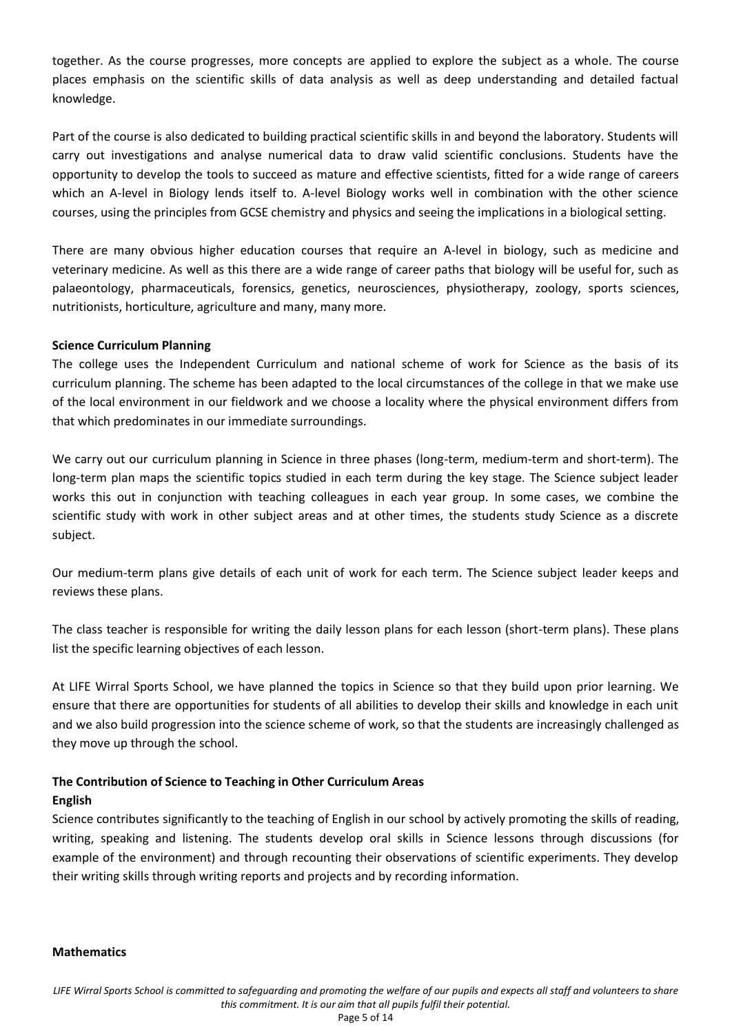together. As the course progresses, more concepts are applied to explore the subject as a whole. The course places emphasis on the scientific skills of data analysis as well as deep understanding and detailed factual knowledge.

Part of the course is also dedicated to building practical scientific skills in and beyond the laboratory. Students will carry out investigations and analyse numerical data to draw valid scientific conclusions. Students have the opportunity to develop the tools to succeed as mature and effective scientists, fitted for a wide range of careers which an A-level in Biology lends itself to. A-level Biology works well in combination with the other science courses, using the principles from GCSE chemistry and physics and seeing the implications in a biological setting.

There are many obvious higher education courses that require an A-level in biology, such as medicine and veterinary medicine. As well as this there are a wide range of career paths that biology will be useful for, such as palaeontology, pharmaceuticals, forensics, genetics, neurosciences, physiotherapy, zoology, sports sciences, nutritionists, horticulture, agriculture and many, many more.

# **Science Curriculum Planning**

The college uses the Independent Curriculum and national scheme of work for Science as the basis of its curriculum planning. The scheme has been adapted to the local circumstances of the college in that we make use of the local environment in our fieldwork and we choose a locality where the physical environment differs from that which predominates in our immediate surroundings.

We carry out our curriculum planning in Science in three phases (long-term, medium-term and short-term). The long-term plan maps the scientific topics studied in each term during the key stage. The Science subject leader works this out in conjunction with teaching colleagues in each year group. In some cases, we combine the scientific study with work in other subject areas and at other times, the students study Science as a discrete subject.

Our medium-term plans give details of each unit of work for each term. The Science subject leader keeps and reviews these plans.

The class teacher is responsible for writing the daily lesson plans for each lesson (short-term plans). These plans list the specific learning objectives of each lesson.

At LIFE Wirral Sports School, we have planned the topics in Science so that they build upon prior learning. We ensure that there are opportunities for students of all abilities to develop their skills and knowledge in each unit and we also build progression into the science scheme of work, so that the students are increasingly challenged as they move up through the school.

# **The Contribution of Science to Teaching in Other Curriculum Areas**

# **English**

Science contributes significantly to the teaching of English in our school by actively promoting the skills of reading, writing, speaking and listening. The students develop oral skills in Science lessons through discussions (for example of the environment) and through recounting their observations of scientific experiments. They develop their writing skills through writing reports and projects and by recording information.

# **Mathematics**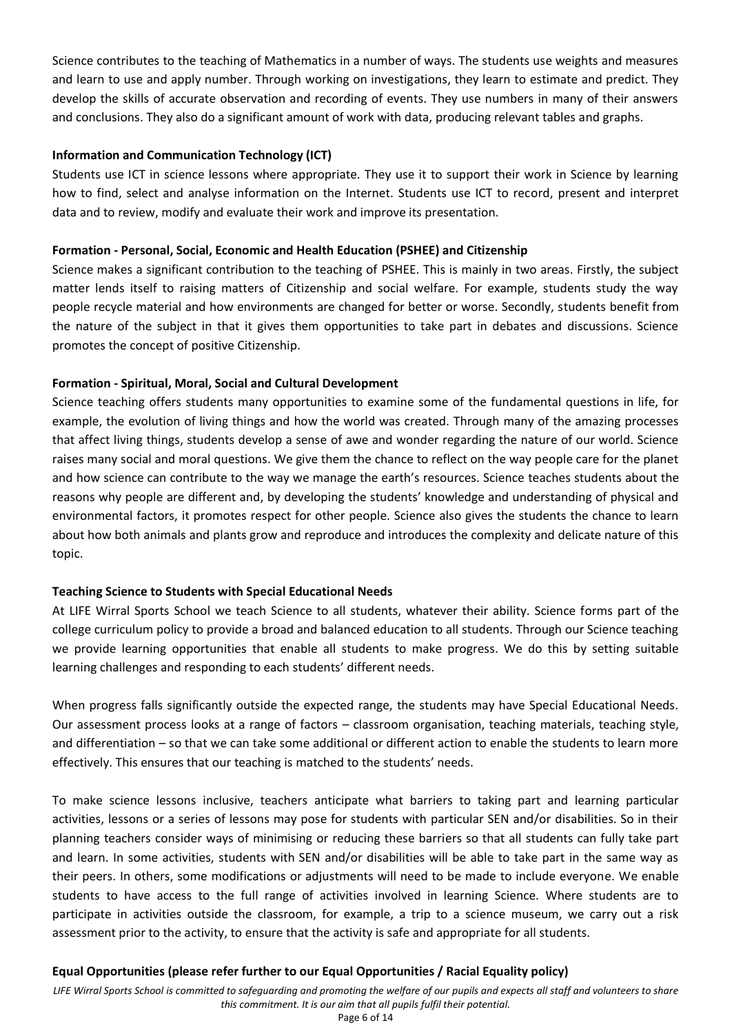Science contributes to the teaching of Mathematics in a number of ways. The students use weights and measures and learn to use and apply number. Through working on investigations, they learn to estimate and predict. They develop the skills of accurate observation and recording of events. They use numbers in many of their answers and conclusions. They also do a significant amount of work with data, producing relevant tables and graphs.

# **Information and Communication Technology (ICT)**

Students use ICT in science lessons where appropriate. They use it to support their work in Science by learning how to find, select and analyse information on the Internet. Students use ICT to record, present and interpret data and to review, modify and evaluate their work and improve its presentation.

# **Formation - Personal, Social, Economic and Health Education (PSHEE) and Citizenship**

Science makes a significant contribution to the teaching of PSHEE. This is mainly in two areas. Firstly, the subject matter lends itself to raising matters of Citizenship and social welfare. For example, students study the way people recycle material and how environments are changed for better or worse. Secondly, students benefit from the nature of the subject in that it gives them opportunities to take part in debates and discussions. Science promotes the concept of positive Citizenship.

# **Formation - Spiritual, Moral, Social and Cultural Development**

Science teaching offers students many opportunities to examine some of the fundamental questions in life, for example, the evolution of living things and how the world was created. Through many of the amazing processes that affect living things, students develop a sense of awe and wonder regarding the nature of our world. Science raises many social and moral questions. We give them the chance to reflect on the way people care for the planet and how science can contribute to the way we manage the earth's resources. Science teaches students about the reasons why people are different and, by developing the students' knowledge and understanding of physical and environmental factors, it promotes respect for other people. Science also gives the students the chance to learn about how both animals and plants grow and reproduce and introduces the complexity and delicate nature of this topic.

# **Teaching Science to Students with Special Educational Needs**

At LIFE Wirral Sports School we teach Science to all students, whatever their ability. Science forms part of the college curriculum policy to provide a broad and balanced education to all students. Through our Science teaching we provide learning opportunities that enable all students to make progress. We do this by setting suitable learning challenges and responding to each students' different needs.

When progress falls significantly outside the expected range, the students may have Special Educational Needs. Our assessment process looks at a range of factors – classroom organisation, teaching materials, teaching style, and differentiation – so that we can take some additional or different action to enable the students to learn more effectively. This ensures that our teaching is matched to the students' needs.

To make science lessons inclusive, teachers anticipate what barriers to taking part and learning particular activities, lessons or a series of lessons may pose for students with particular SEN and/or disabilities. So in their planning teachers consider ways of minimising or reducing these barriers so that all students can fully take part and learn. In some activities, students with SEN and/or disabilities will be able to take part in the same way as their peers. In others, some modifications or adjustments will need to be made to include everyone. We enable students to have access to the full range of activities involved in learning Science. Where students are to participate in activities outside the classroom, for example, a trip to a science museum, we carry out a risk assessment prior to the activity, to ensure that the activity is safe and appropriate for all students.

# **Equal Opportunities (please refer further to our Equal Opportunities / Racial Equality policy)**

*LIFE Wirral Sports School is committed to safeguarding and promoting the welfare of our pupils and expects all staff and volunteers to share this commitment. It is our aim that all pupils fulfil their potential.* Page 6 of 14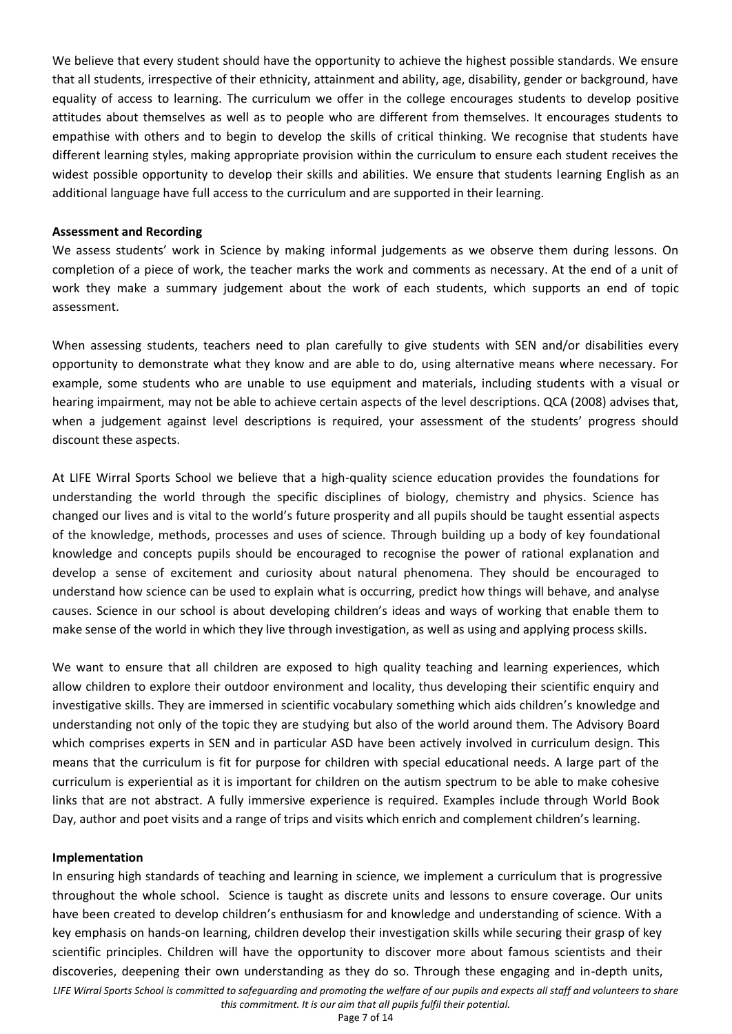We believe that every student should have the opportunity to achieve the highest possible standards. We ensure that all students, irrespective of their ethnicity, attainment and ability, age, disability, gender or background, have equality of access to learning. The curriculum we offer in the college encourages students to develop positive attitudes about themselves as well as to people who are different from themselves. It encourages students to empathise with others and to begin to develop the skills of critical thinking. We recognise that students have different learning styles, making appropriate provision within the curriculum to ensure each student receives the widest possible opportunity to develop their skills and abilities. We ensure that students learning English as an additional language have full access to the curriculum and are supported in their learning.

#### **Assessment and Recording**

We assess students' work in Science by making informal judgements as we observe them during lessons. On completion of a piece of work, the teacher marks the work and comments as necessary. At the end of a unit of work they make a summary judgement about the work of each students, which supports an end of topic assessment.

When assessing students, teachers need to plan carefully to give students with SEN and/or disabilities every opportunity to demonstrate what they know and are able to do, using alternative means where necessary. For example, some students who are unable to use equipment and materials, including students with a visual or hearing impairment, may not be able to achieve certain aspects of the level descriptions. QCA (2008) advises that, when a judgement against level descriptions is required, your assessment of the students' progress should discount these aspects.

At LIFE Wirral Sports School we believe that a high-quality science education provides the foundations for understanding the world through the specific disciplines of biology, chemistry and physics. Science has changed our lives and is vital to the world's future prosperity and all pupils should be taught essential aspects of the knowledge, methods, processes and uses of science. Through building up a body of key foundational knowledge and concepts pupils should be encouraged to recognise the power of rational explanation and develop a sense of excitement and curiosity about natural phenomena. They should be encouraged to understand how science can be used to explain what is occurring, predict how things will behave, and analyse causes. Science in our school is about developing children's ideas and ways of working that enable them to make sense of the world in which they live through investigation, as well as using and applying process skills.

We want to ensure that all children are exposed to high quality teaching and learning experiences, which allow children to explore their outdoor environment and locality, thus developing their scientific enquiry and investigative skills. They are immersed in scientific vocabulary something which aids children's knowledge and understanding not only of the topic they are studying but also of the world around them. The Advisory Board which comprises experts in SEN and in particular ASD have been actively involved in curriculum design. This means that the curriculum is fit for purpose for children with special educational needs. A large part of the curriculum is experiential as it is important for children on the autism spectrum to be able to make cohesive links that are not abstract. A fully immersive experience is required. Examples include through World Book Day, author and poet visits and a range of trips and visits which enrich and complement children's learning.

#### **Implementation**

In ensuring high standards of teaching and learning in science, we implement a curriculum that is progressive throughout the whole school. Science is taught as discrete units and lessons to ensure coverage. Our units have been created to develop children's enthusiasm for and knowledge and understanding of science. With a key emphasis on hands-on learning, children develop their investigation skills while securing their grasp of key scientific principles. Children will have the opportunity to discover more about famous scientists and their discoveries, deepening their own understanding as they do so. Through these engaging and in-depth units,

*LIFE Wirral Sports School is committed to safeguarding and promoting the welfare of our pupils and expects all staff and volunteers to share this commitment. It is our aim that all pupils fulfil their potential.*

Page 7 of 14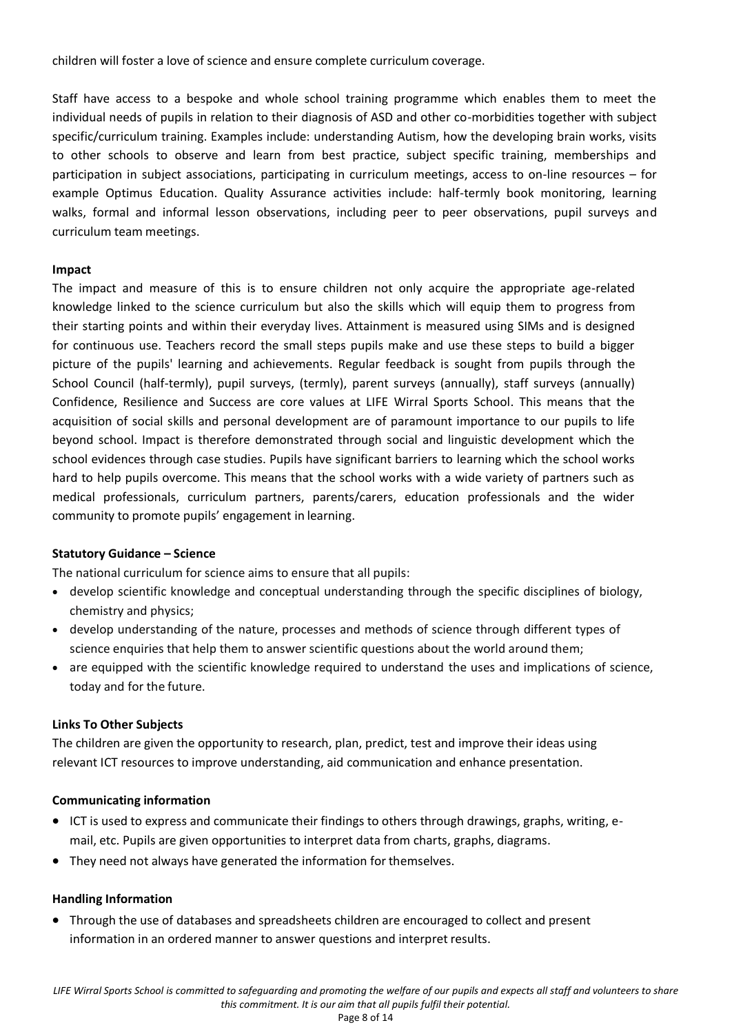children will foster a love of science and ensure complete curriculum coverage.

Staff have access to a bespoke and whole school training programme which enables them to meet the individual needs of pupils in relation to their diagnosis of ASD and other co-morbidities together with subject specific/curriculum training. Examples include: understanding Autism, how the developing brain works, visits to other schools to observe and learn from best practice, subject specific training, memberships and participation in subject associations, participating in curriculum meetings, access to on-line resources – for example Optimus Education. Quality Assurance activities include: half-termly book monitoring, learning walks, formal and informal lesson observations, including peer to peer observations, pupil surveys and curriculum team meetings.

# **Impact**

The impact and measure of this is to ensure children not only acquire the appropriate age-related knowledge linked to the science curriculum but also the skills which will equip them to progress from their starting points and within their everyday lives. Attainment is measured using SIMs and is designed for continuous use. Teachers record the small steps pupils make and use these steps to build a bigger picture of the pupils' learning and achievements. Regular feedback is sought from pupils through the School Council (half-termly), pupil surveys, (termly), parent surveys (annually), staff surveys (annually) Confidence, Resilience and Success are core values at LIFE Wirral Sports School. This means that the acquisition of social skills and personal development are of paramount importance to our pupils to life beyond school. Impact is therefore demonstrated through social and linguistic development which the school evidences through case studies. Pupils have significant barriers to learning which the school works hard to help pupils overcome. This means that the school works with a wide variety of partners such as medical professionals, curriculum partners, parents/carers, education professionals and the wider community to promote pupils' engagement in learning.

# **Statutory Guidance – Science**

The national curriculum for science aims to ensure that all pupils:

- develop scientific knowledge and conceptual understanding through the specific disciplines of biology, chemistry and physics;
- develop understanding of the nature, processes and methods of science through different types of science enquiries that help them to answer scientific questions about the world around them;
- are equipped with the scientific knowledge required to understand the uses and implications of science, today and for the future.

# **Links To Other Subjects**

The children are given the opportunity to research, plan, predict, test and improve their ideas using relevant ICT resources to improve understanding, aid communication and enhance presentation.

# **Communicating information**

- ICT is used to express and communicate their findings to others through drawings, graphs, writing, email, etc. Pupils are given opportunities to interpret data from charts, graphs, diagrams.
- They need not always have generated the information for themselves.

# **Handling Information**

 Through the use of databases and spreadsheets children are encouraged to collect and present information in an ordered manner to answer questions and interpret results.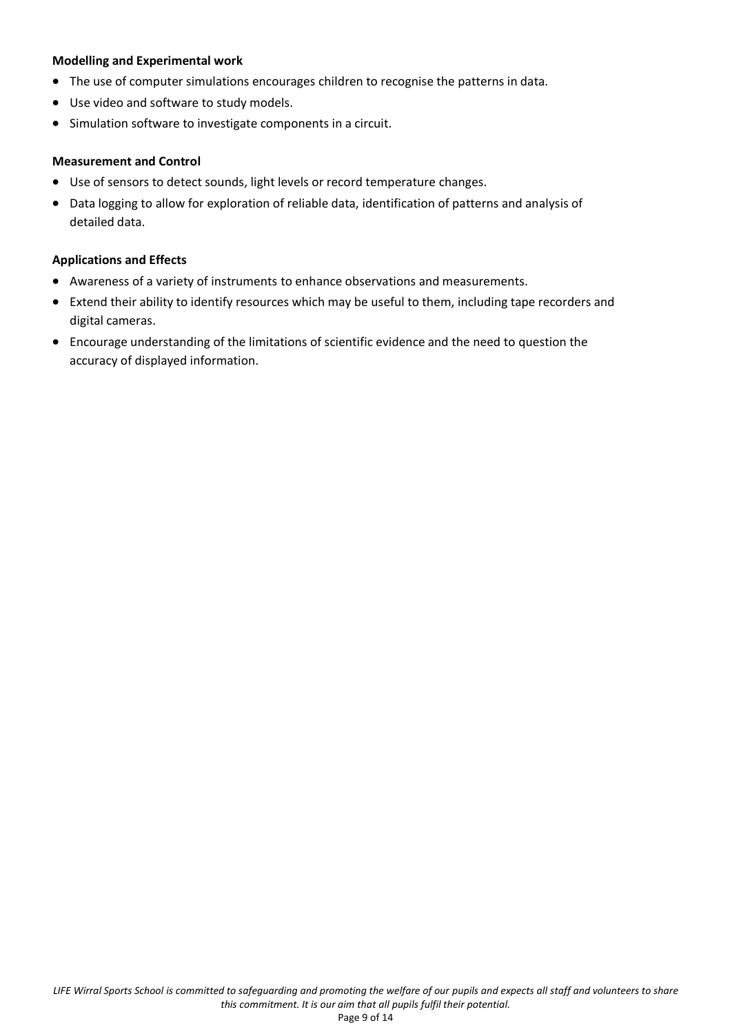# **Modelling and Experimental work**

- The use of computer simulations encourages children to recognise the patterns in data.
- Use video and software to study models.
- Simulation software to investigate components in a circuit.

# **Measurement and Control**

- Use of sensors to detect sounds, light levels or record temperature changes.
- Data logging to allow for exploration of reliable data, identification of patterns and analysis of detailed data.

# **Applications and Effects**

- Awareness of a variety of instruments to enhance observations and measurements.
- Extend their ability to identify resources which may be useful to them, including tape recorders and digital cameras.
- Encourage understanding of the limitations of scientific evidence and the need to question the accuracy of displayed information.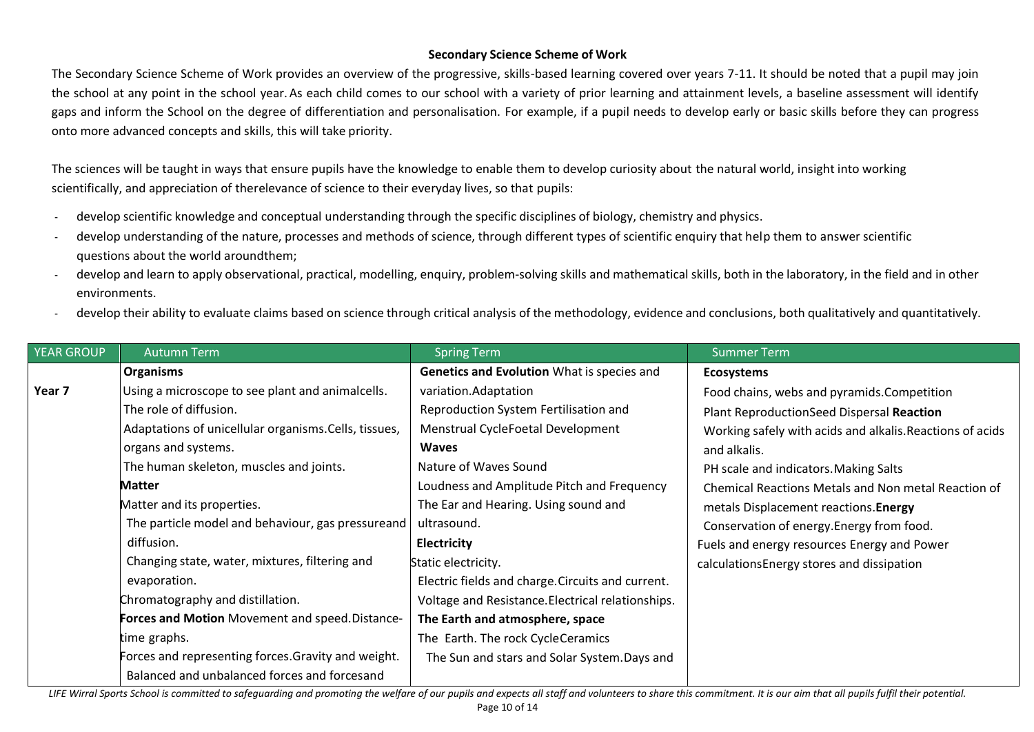# **Secondary Science Scheme of Work**

The Secondary Science Scheme of Work provides an overview of the progressive, skills-based learning covered over years 7-11. It should be noted that a pupil may join the school at any point in the school year. As each child comes to our school with a variety of prior learning and attainment levels, a baseline assessment will identify gaps and inform the School on the degree of differentiation and personalisation. For example, if a pupil needs to develop early or basic skills before they can progress onto more advanced concepts and skills, this will take priority.

The sciences will be taught in ways that ensure pupils have the knowledge to enable them to develop curiosity about the natural world, insight into working scientifically, and appreciation of therelevance of science to their everyday lives, so that pupils:

- develop scientific knowledge and conceptual understanding through the specific disciplines of biology, chemistry and physics.
- develop understanding of the nature, processes and methods of science, through different types of scientific enquiry that help them to answer scientific questions about the world aroundthem;
- develop and learn to apply observational, practical, modelling, enquiry, problem-solving skills and mathematical skills, both in the laboratory, in the field and in other environments.
- develop their ability to evaluate claims based on science through critical analysis of the methodology, evidence and conclusions, both qualitatively and quantitatively.

| <b>YEAR GROUP</b> | <b>Autumn Term</b>                                    | <b>Spring Term</b>                                | <b>Summer Term</b>                                        |
|-------------------|-------------------------------------------------------|---------------------------------------------------|-----------------------------------------------------------|
|                   | Organisms                                             | Genetics and Evolution What is species and        | <b>Ecosystems</b>                                         |
| Year 7            | Using a microscope to see plant and animalcells.      | variation.Adaptation                              | Food chains, webs and pyramids. Competition               |
|                   | The role of diffusion.                                | Reproduction System Fertilisation and             | Plant ReproductionSeed Dispersal Reaction                 |
|                   | Adaptations of unicellular organisms. Cells, tissues, | Menstrual CycleFoetal Development                 | Working safely with acids and alkalis. Reactions of acids |
|                   | organs and systems.                                   | <b>Waves</b>                                      | and alkalis.                                              |
|                   | The human skeleton, muscles and joints.               | Nature of Waves Sound                             | PH scale and indicators. Making Salts                     |
|                   | <b>Matter</b>                                         | Loudness and Amplitude Pitch and Frequency        | Chemical Reactions Metals and Non metal Reaction of       |
|                   | Matter and its properties.                            | The Ear and Hearing. Using sound and              | metals Displacement reactions. Energy                     |
|                   | The particle model and behaviour, gas pressureand     | ultrasound.                                       | Conservation of energy. Energy from food.                 |
|                   | diffusion.                                            | Electricity                                       | Fuels and energy resources Energy and Power               |
|                   | Changing state, water, mixtures, filtering and        | Static electricity.                               | calculations Energy stores and dissipation                |
|                   | evaporation.                                          | Electric fields and charge. Circuits and current. |                                                           |
|                   | Chromatography and distillation.                      | Voltage and Resistance. Electrical relationships. |                                                           |
|                   | Forces and Motion Movement and speed. Distance-       | The Earth and atmosphere, space                   |                                                           |
|                   | time graphs.                                          | The Earth. The rock CycleCeramics                 |                                                           |
|                   | Forces and representing forces. Gravity and weight.   | The Sun and stars and Solar System. Days and      |                                                           |
|                   | Balanced and unbalanced forces and forcesand          |                                                   |                                                           |

LIFE Wirral Sports School is committed to safequarding and promoting the welfare of our pupils and expects all staff and volunteers to share this commitment. It is our aim that all pupils fulfil their potential. Page 10 of 14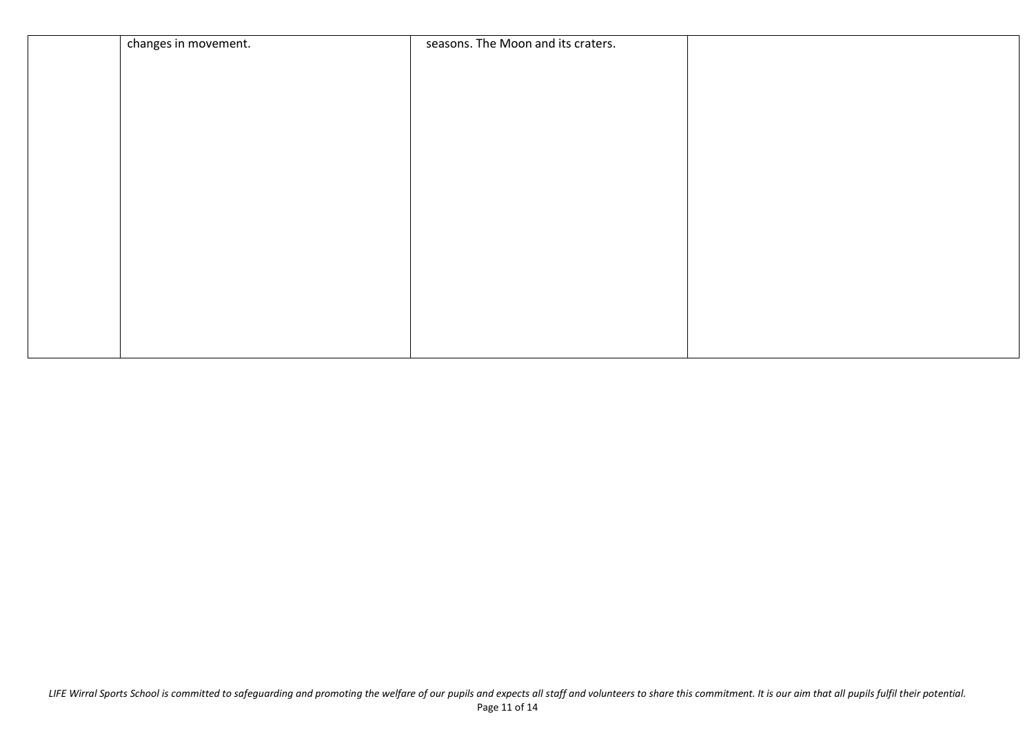| changes in movement. | seasons. The Moon and its craters. |  |
|----------------------|------------------------------------|--|
|                      |                                    |  |
|                      |                                    |  |
|                      |                                    |  |
|                      |                                    |  |
|                      |                                    |  |
|                      |                                    |  |
|                      |                                    |  |
|                      |                                    |  |
|                      |                                    |  |
|                      |                                    |  |
|                      |                                    |  |
|                      |                                    |  |
|                      |                                    |  |
|                      |                                    |  |
|                      |                                    |  |
|                      |                                    |  |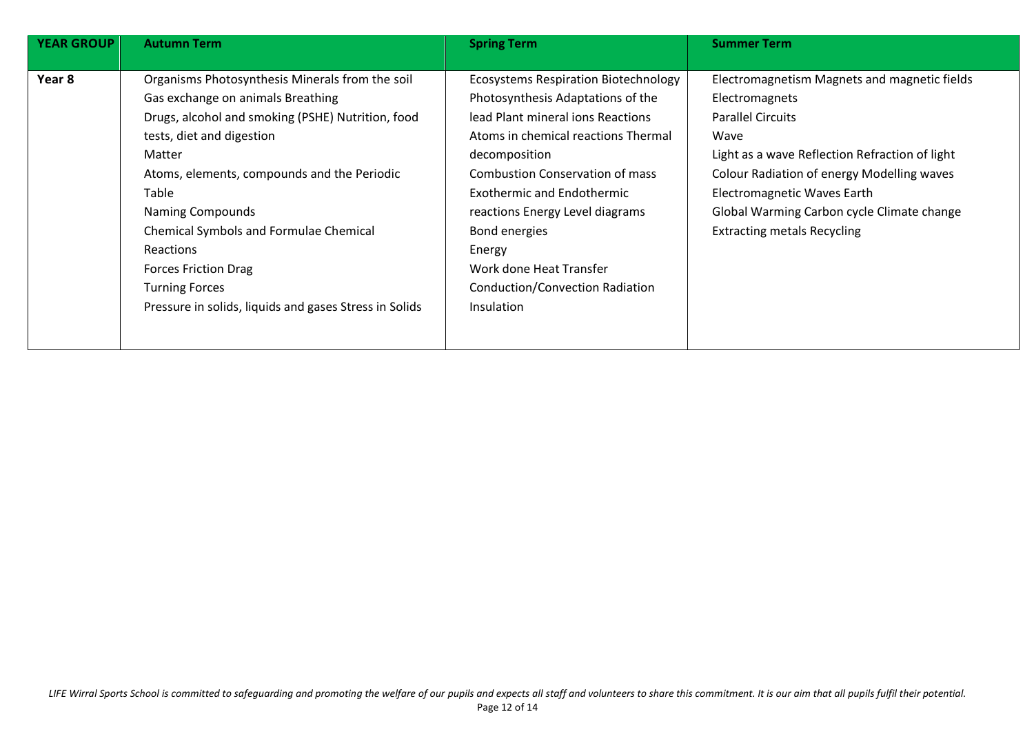| <b>YEAR GROUP</b> | <b>Autumn Term</b>                                     | <b>Spring Term</b>                          | <b>Summer Term</b>                             |
|-------------------|--------------------------------------------------------|---------------------------------------------|------------------------------------------------|
|                   |                                                        |                                             |                                                |
| Year 8            | Organisms Photosynthesis Minerals from the soil        | <b>Ecosystems Respiration Biotechnology</b> | Electromagnetism Magnets and magnetic fields   |
|                   | Gas exchange on animals Breathing                      | Photosynthesis Adaptations of the           | Electromagnets                                 |
|                   | Drugs, alcohol and smoking (PSHE) Nutrition, food      | lead Plant mineral ions Reactions           | <b>Parallel Circuits</b>                       |
|                   | tests, diet and digestion                              | Atoms in chemical reactions Thermal         | Wave                                           |
|                   | Matter                                                 | decomposition                               | Light as a wave Reflection Refraction of light |
|                   | Atoms, elements, compounds and the Periodic            | <b>Combustion Conservation of mass</b>      | Colour Radiation of energy Modelling waves     |
|                   | Table                                                  | <b>Exothermic and Endothermic</b>           | Electromagnetic Waves Earth                    |
|                   | <b>Naming Compounds</b>                                | reactions Energy Level diagrams             | Global Warming Carbon cycle Climate change     |
|                   | <b>Chemical Symbols and Formulae Chemical</b>          | Bond energies                               | <b>Extracting metals Recycling</b>             |
|                   | <b>Reactions</b>                                       | Energy                                      |                                                |
|                   | <b>Forces Friction Drag</b>                            | Work done Heat Transfer                     |                                                |
|                   | <b>Turning Forces</b>                                  | <b>Conduction/Convection Radiation</b>      |                                                |
|                   | Pressure in solids, liquids and gases Stress in Solids | Insulation                                  |                                                |
|                   |                                                        |                                             |                                                |
|                   |                                                        |                                             |                                                |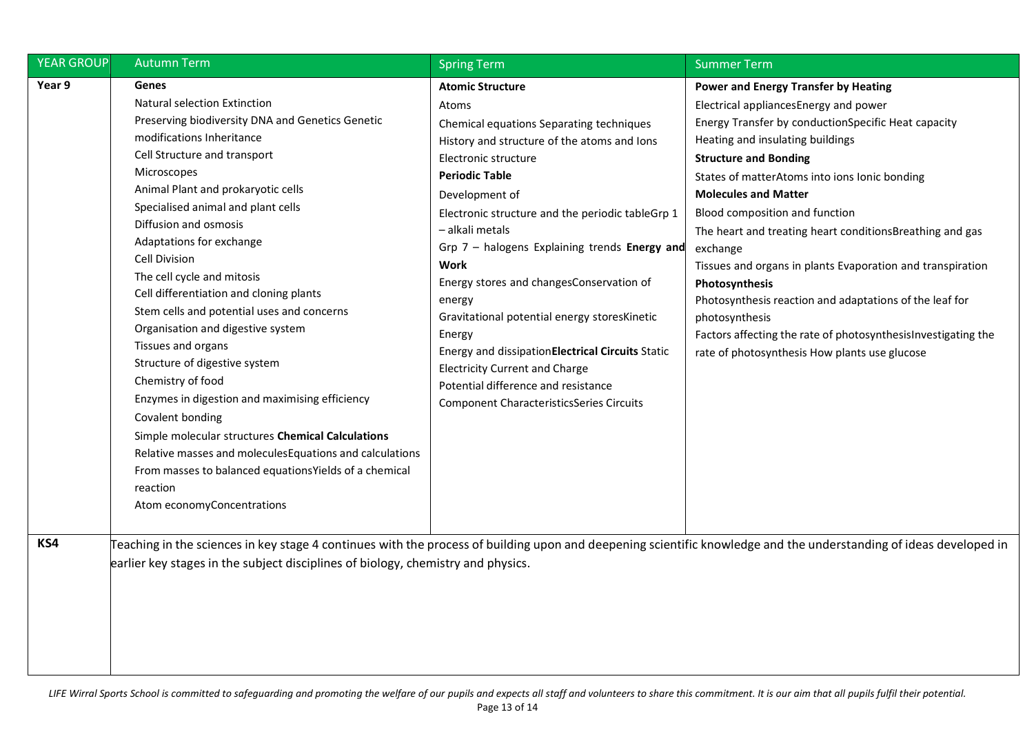| <b>YEAR GROUP</b> | <b>Autumn Term</b>                                                                                                                                                                                                                                                                                                                                                                                                                                                                                                                                                                                                                                                                                                                                                                                                                                                       | <b>Spring Term</b>                                                                                                                                                                                                                                                                                                                                                                                                                                                                                                                                                                                                                       | <b>Summer Term</b>                                                                                                                                                                                                                                                                                                                                                                                                                                                                                                                                                                                                                                                                |
|-------------------|--------------------------------------------------------------------------------------------------------------------------------------------------------------------------------------------------------------------------------------------------------------------------------------------------------------------------------------------------------------------------------------------------------------------------------------------------------------------------------------------------------------------------------------------------------------------------------------------------------------------------------------------------------------------------------------------------------------------------------------------------------------------------------------------------------------------------------------------------------------------------|------------------------------------------------------------------------------------------------------------------------------------------------------------------------------------------------------------------------------------------------------------------------------------------------------------------------------------------------------------------------------------------------------------------------------------------------------------------------------------------------------------------------------------------------------------------------------------------------------------------------------------------|-----------------------------------------------------------------------------------------------------------------------------------------------------------------------------------------------------------------------------------------------------------------------------------------------------------------------------------------------------------------------------------------------------------------------------------------------------------------------------------------------------------------------------------------------------------------------------------------------------------------------------------------------------------------------------------|
| Year 9            | Genes<br>Natural selection Extinction<br>Preserving biodiversity DNA and Genetics Genetic<br>modifications Inheritance<br>Cell Structure and transport<br><b>Microscopes</b><br>Animal Plant and prokaryotic cells<br>Specialised animal and plant cells<br>Diffusion and osmosis<br>Adaptations for exchange<br><b>Cell Division</b><br>The cell cycle and mitosis<br>Cell differentiation and cloning plants<br>Stem cells and potential uses and concerns<br>Organisation and digestive system<br>Tissues and organs<br>Structure of digestive system<br>Chemistry of food<br>Enzymes in digestion and maximising efficiency<br>Covalent bonding<br>Simple molecular structures Chemical Calculations<br>Relative masses and molecules Equations and calculations<br>From masses to balanced equations Yields of a chemical<br>reaction<br>Atom economyConcentrations | <b>Atomic Structure</b><br>Atoms<br>Chemical equations Separating techniques<br>History and structure of the atoms and lons<br>Electronic structure<br><b>Periodic Table</b><br>Development of<br>Electronic structure and the periodic tableGrp 1<br>- alkali metals<br>Grp $7$ – halogens Explaining trends Energy and<br>Work<br>Energy stores and changesConservation of<br>energy<br>Gravitational potential energy storesKinetic<br>Energy<br>Energy and dissipation Electrical Circuits Static<br><b>Electricity Current and Charge</b><br>Potential difference and resistance<br><b>Component CharacteristicsSeries Circuits</b> | Power and Energy Transfer by Heating<br>Electrical appliancesEnergy and power<br>Energy Transfer by conductionSpecific Heat capacity<br>Heating and insulating buildings<br><b>Structure and Bonding</b><br>States of matterAtoms into ions Ionic bonding<br><b>Molecules and Matter</b><br>Blood composition and function<br>The heart and treating heart conditionsBreathing and gas<br>exchange<br>Tissues and organs in plants Evaporation and transpiration<br>Photosynthesis<br>Photosynthesis reaction and adaptations of the leaf for<br>photosynthesis<br>Factors affecting the rate of photosynthesisInvestigating the<br>rate of photosynthesis How plants use glucose |
| KS4               | earlier key stages in the subject disciplines of biology, chemistry and physics.                                                                                                                                                                                                                                                                                                                                                                                                                                                                                                                                                                                                                                                                                                                                                                                         |                                                                                                                                                                                                                                                                                                                                                                                                                                                                                                                                                                                                                                          | Teaching in the sciences in key stage 4 continues with the process of building upon and deepening scientific knowledge and the understanding of ideas developed in                                                                                                                                                                                                                                                                                                                                                                                                                                                                                                                |